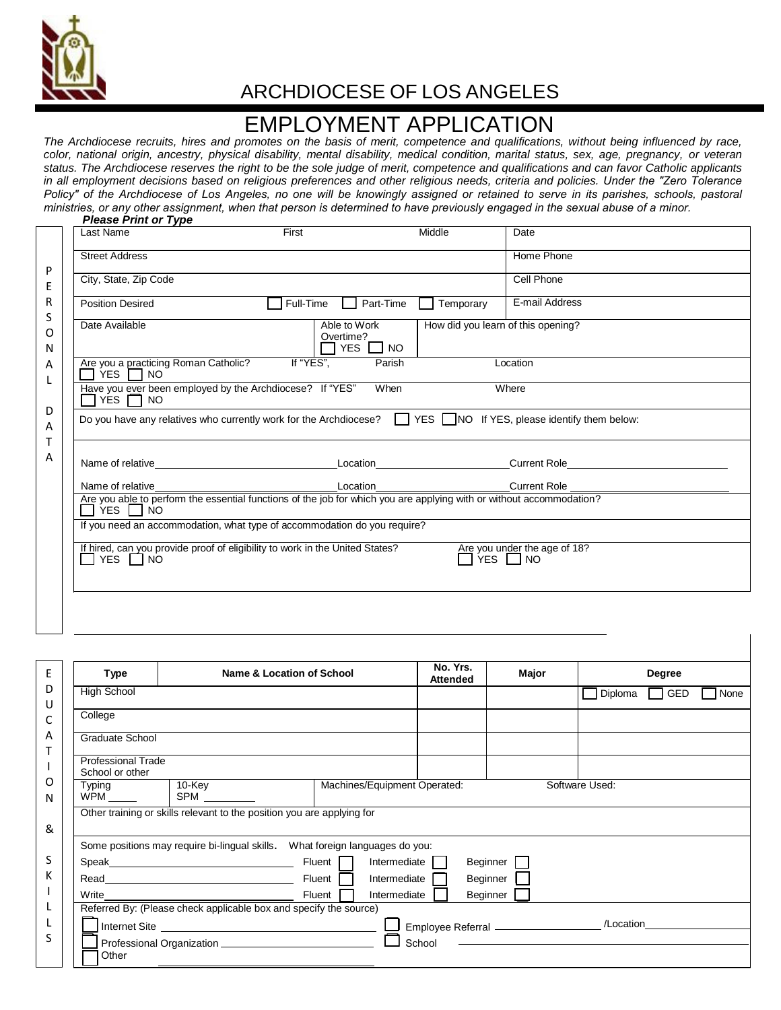

## ARCHDIOCESE OF LOS ANGELES

## EMPLOYMENT APPLICATION

*The Archdiocese recruits, hires and promotes on the basis of merit, competence and qualifications, without being influenced by race, color, national origin, ancestry, physical disability, mental disability, medical condition, marital status, sex, age, pregnancy, or veteran status. The Archdiocese reserves the right to be the sole judge of merit, competence and qualifications and can favor Catholic applicants in all employment decisions based on religious preferences and other religious needs, criteria and policies. Under the "Zero Tolerance Policy" of the Archdiocese of Los Angeles, no one will be knowingly assigned or retained to serve in its parishes, schools, pastoral ministries, or any other assignment, when that person is determined to have previously engaged in the sexual abuse of a minor. Please Print or Type*

| Last Name                                                                                                                                                                                                                      | First                                                                                                                | Middle    | Date                                         |
|--------------------------------------------------------------------------------------------------------------------------------------------------------------------------------------------------------------------------------|----------------------------------------------------------------------------------------------------------------------|-----------|----------------------------------------------|
| <b>Street Address</b>                                                                                                                                                                                                          |                                                                                                                      |           | Home Phone                                   |
| City, State, Zip Code                                                                                                                                                                                                          |                                                                                                                      |           | Cell Phone                                   |
| <b>Position Desired</b>                                                                                                                                                                                                        | Full-Time<br>Part-Time                                                                                               | Temporary | E-mail Address                               |
| Date Available                                                                                                                                                                                                                 | Able to Work<br>Overtime?<br>YES                                                                                     | NO.       | How did you learn of this opening?           |
| Are you a practicing Roman Catholic?<br>YES  <br><b>NO</b>                                                                                                                                                                     | If "YES",                                                                                                            | Parish    | Location                                     |
| YES $\Box$<br><b>NO</b>                                                                                                                                                                                                        | Have you ever been employed by the Archdiocese? If "YES"                                                             | When      | Where                                        |
|                                                                                                                                                                                                                                |                                                                                                                      |           |                                              |
|                                                                                                                                                                                                                                | Do you have any relatives who currently work for the Archdiocese? Net YES NO If YES, please identify them below:     |           |                                              |
| Name of relative example of the state of the state of the state of the state of the state of the state of the state of the state of the state of the state of the state of the state of the state of the state of the state of | Location                                                                                                             |           | <b>Current Role</b>                          |
| Name of relative                                                                                                                                                                                                               | Location                                                                                                             |           | <b>Current Role</b>                          |
| YES I INO                                                                                                                                                                                                                      | Are you able to perform the essential functions of the job for which you are applying with or without accommodation? |           |                                              |
|                                                                                                                                                                                                                                | If you need an accommodation, what type of accommodation do you require?                                             |           |                                              |
| YES NO                                                                                                                                                                                                                         | If hired, can you provide proof of eligibility to work in the United States?                                         |           | Are you under the age of 18?<br>YES I<br>NO. |

| <b>Type</b>                                  |                                                                                                                                                                                                                                      | Name & Location of School                                                     | No. Yrs.<br><b>Attended</b> | Major    | <b>Degree</b>                 |
|----------------------------------------------|--------------------------------------------------------------------------------------------------------------------------------------------------------------------------------------------------------------------------------------|-------------------------------------------------------------------------------|-----------------------------|----------|-------------------------------|
| High School                                  |                                                                                                                                                                                                                                      |                                                                               |                             |          | Diploma<br><b>GED</b><br>None |
| College                                      |                                                                                                                                                                                                                                      |                                                                               |                             |          |                               |
| Graduate School                              |                                                                                                                                                                                                                                      |                                                                               |                             |          |                               |
| <b>Professional Trade</b><br>School or other |                                                                                                                                                                                                                                      |                                                                               |                             |          |                               |
| <b>Typing</b>                                | 10-Key<br>SPM ________                                                                                                                                                                                                               | Machines/Equipment Operated:                                                  |                             |          | Software Used:                |
|                                              | Other training or skills relevant to the position you are applying for                                                                                                                                                               |                                                                               |                             |          |                               |
|                                              |                                                                                                                                                                                                                                      | Some positions may require bi-lingual skills.  What foreign languages do you: |                             |          |                               |
|                                              |                                                                                                                                                                                                                                      | Intermediate                                                                  | Beginner                    |          |                               |
|                                              |                                                                                                                                                                                                                                      | Intermediate                                                                  |                             | Beginner |                               |
|                                              |                                                                                                                                                                                                                                      | Intermediate                                                                  | Beginner                    |          |                               |
|                                              |                                                                                                                                                                                                                                      |                                                                               |                             |          |                               |
|                                              | Referred By: (Please check applicable box and specify the source)                                                                                                                                                                    |                                                                               |                             |          |                               |
|                                              | Internet Site <u>substitution of the set of the set of the set of the set of the set of the set of the set of the set of the set of the set of the set of the set of the set of the set of the set of the set of the set of the </u> |                                                                               |                             |          |                               |
|                                              |                                                                                                                                                                                                                                      |                                                                               | School                      |          |                               |

 $\overline{1}$